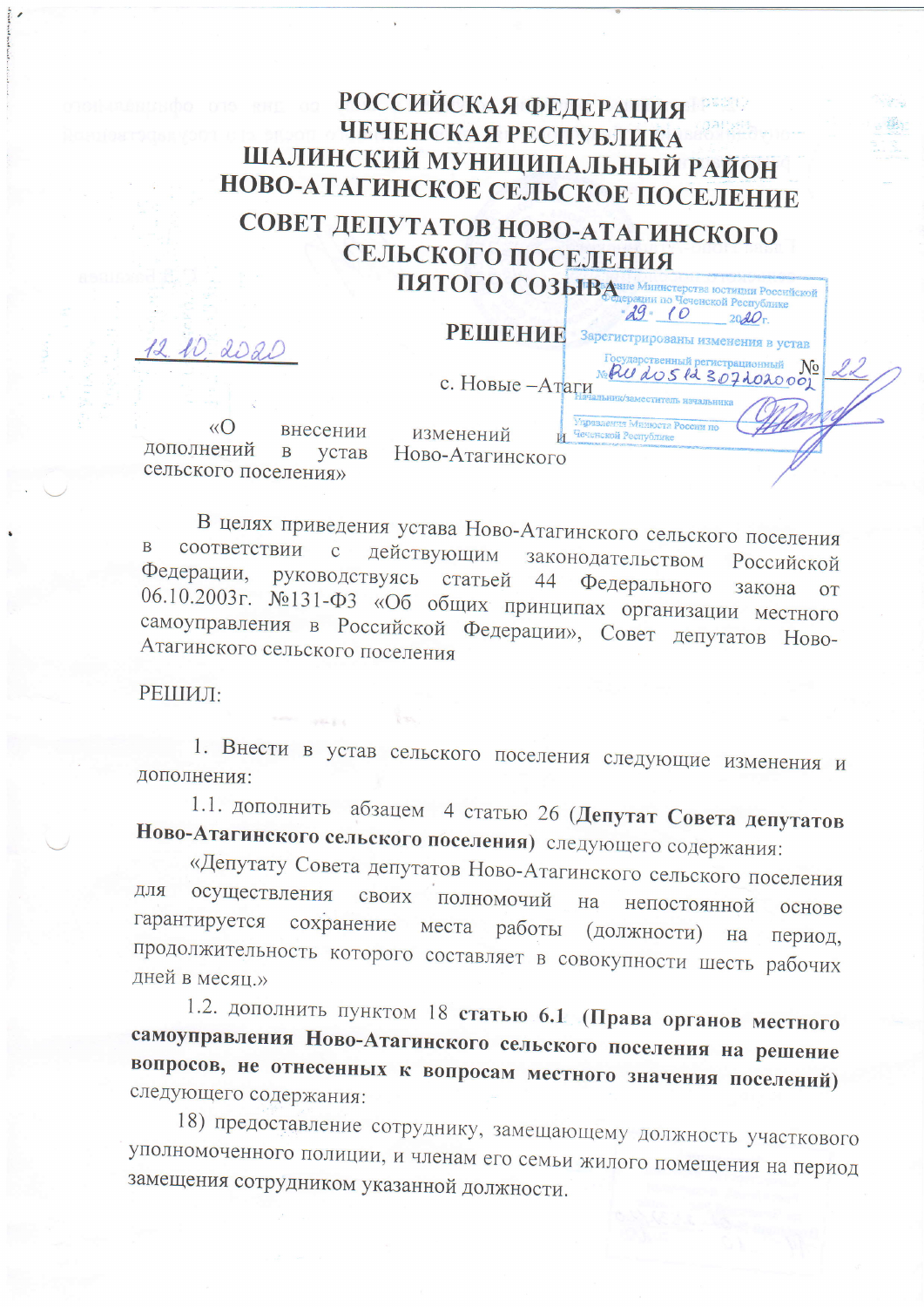## **РОССИЙСКАЯ ФЕДЕРАЦИЯ** ЧЕЧЕНСКАЯ РЕСПУБЛИКА ШАЛИНСКИЙ МУНИЦИПАЛЬНЫЙ РАЙОН НОВО-АТАГИНСКОЕ СЕЛЬСКОЕ ПОСЕЛЕНИЕ СОВЕТ ДЕПУТАТОВ НОВО-АТАГИНСКОГО

СЕЛЬСКОГО ПОСЕЛЕНИЯ ПЯТОГО СОЗЫВАВНЕ Министерства ЮСТИЦИЯ РОССИЙСКОЙ

 $-29$   $10$ 

РЕШЕНИЕ Зарегистрированы изменения в устав

 $2020r$ 

 $N_2$ 

ударственный регистрационный

Audos la 307 do 2000

12 10 2020

с. Новые -Атаги

 $\langle \langle \bigcap$ внесении изменений дополнений  $\overline{B}$ устав Ново-Атагинского сельского поселения»

В целях приведения устава Ново-Атагинского сельского поселения соответствии с  $\overline{B}$ действующим законодательством Российской Федерации, руководствуясь статьей 44 Федерального закона **OT** 06.10.2003г. №131-ФЗ «Об общих принципах организации местного самоуправления в Российской Федерации», Совет депутатов Ново-Атагинского сельского поселения

РЕШИЛ:

1. Внести в устав сельского поселения следующие изменения и дополнения:

1.1. дополнить абзацем 4 статью 26 (Депутат Совета депутатов Ново-Атагинского сельского поселения) следующего содержания:

«Депутату Совета депутатов Ново-Атагинского сельского поселения осуществления ДЛЯ своих полномочий на непостоянной основе гарантируется сохранение места работы (должности) Ha период. продолжительность которого составляет в совокупности шесть рабочих дней в месяц.»

1.2. дополнить пунктом 18 статью 6.1 (Права органов местного самоуправления Ново-Атагинского сельского поселения на решение вопросов, не отнесенных к вопросам местного значения поселений) следующего содержания:

18) предоставление сотруднику, замещающему должность участкового уполномоченного полиции, и членам его семьи жилого помещения на период замещения сотрудником указанной должности.